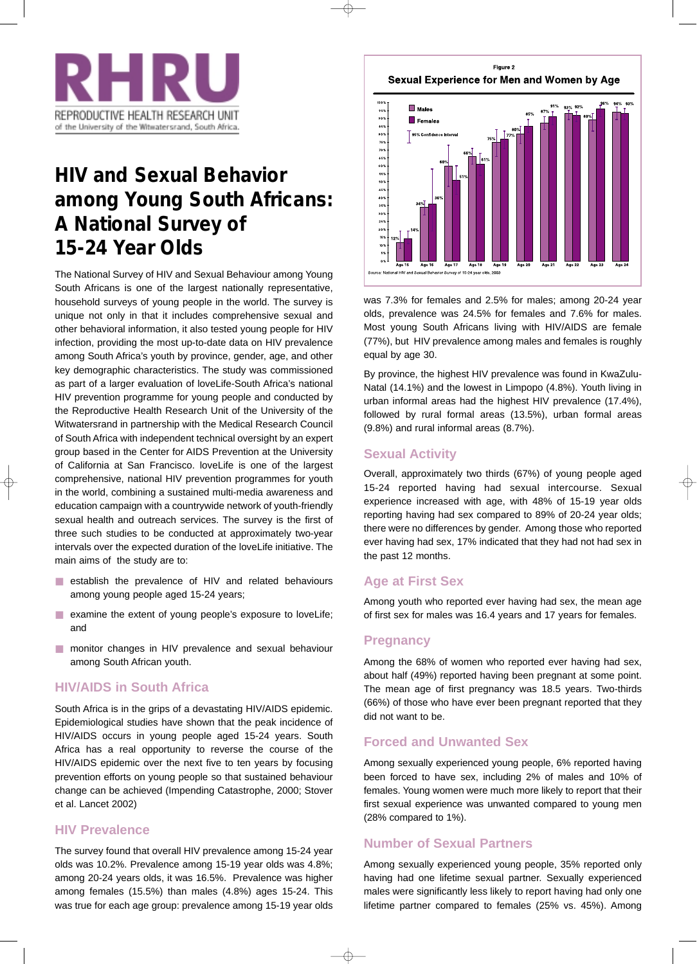

# **HIV and Sexual Behavior among Young South Africans: A National Survey of 15-24 Year Olds**

The National Survey of HIV and Sexual Behaviour among Young South Africans is one of the largest nationally representative, household surveys of young people in the world. The survey is unique not only in that it includes comprehensive sexual and other behavioral information, it also tested young people for HIV infection, providing the most up-to-date data on HIV prevalence among South Africa's youth by province, gender, age, and other key demographic characteristics. The study was commissioned as part of a larger evaluation of loveLife-South Africa's national HIV prevention programme for young people and conducted by the Reproductive Health Research Unit of the University of the Witwatersrand in partnership with the Medical Research Council of South Africa with independent technical oversight by an expert group based in the Center for AIDS Prevention at the University of California at San Francisco. loveLife is one of the largest comprehensive, national HIV prevention programmes for youth in the world, combining a sustained multi-media awareness and education campaign with a countrywide network of youth-friendly sexual health and outreach services. The survey is the first of three such studies to be conducted at approximately two-year intervals over the expected duration of the loveLife initiative. The main aims of the study are to:

- establish the prevalence of HIV and related behaviours among young people aged 15-24 years;
- examine the extent of young people's exposure to loveLife; and
- monitor changes in HIV prevalence and sexual behaviour among South African youth.

## **HIV/AIDS in South Africa**

South Africa is in the grips of a devastating HIV/AIDS epidemic. Epidemiological studies have shown that the peak incidence of HIV/AIDS occurs in young people aged 15-24 years. South Africa has a real opportunity to reverse the course of the HIV/AIDS epidemic over the next five to ten years by focusing prevention efforts on young people so that sustained behaviour change can be achieved (Impending Catastrophe, 2000; Stover et al. Lancet 2002)

## **HIV Prevalence**

The survey found that overall HIV prevalence among 15-24 year olds was 10.2%. Prevalence among 15-19 year olds was 4.8%; among 20-24 years olds, it was 16.5%. Prevalence was higher among females (15.5%) than males (4.8%) ages 15-24. This was true for each age group: prevalence among 15-19 year olds

Figure 2 Sexual Experience for Men and Women by Age



was 7.3% for females and 2.5% for males; among 20-24 year olds, prevalence was 24.5% for females and 7.6% for males. Most young South Africans living with HIV/AIDS are female (77%), but HIV prevalence among males and females is roughly equal by age 30.

By province, the highest HIV prevalence was found in KwaZulu-Natal (14.1%) and the lowest in Limpopo (4.8%). Youth living in urban informal areas had the highest HIV prevalence (17.4%), followed by rural formal areas (13.5%), urban formal areas (9.8%) and rural informal areas (8.7%).

# **Sexual Activity**

Overall, approximately two thirds (67%) of young people aged 15-24 reported having had sexual intercourse. Sexual experience increased with age, with 48% of 15-19 year olds reporting having had sex compared to 89% of 20-24 year olds; there were no differences by gender. Among those who reported ever having had sex, 17% indicated that they had not had sex in the past 12 months.

# **Age at First Sex**

Among youth who reported ever having had sex, the mean age of first sex for males was 16.4 years and 17 years for females.

## **Pregnancy**

Among the 68% of women who reported ever having had sex, about half (49%) reported having been pregnant at some point. The mean age of first pregnancy was 18.5 years. Two-thirds (66%) of those who have ever been pregnant reported that they did not want to be.

# **Forced and Unwanted Sex**

Among sexually experienced young people, 6% reported having been forced to have sex, including 2% of males and 10% of females. Young women were much more likely to report that their first sexual experience was unwanted compared to young men (28% compared to 1%).

## **Number of Sexual Partners**

Among sexually experienced young people, 35% reported only having had one lifetime sexual partner. Sexually experienced males were significantly less likely to report having had only one lifetime partner compared to females (25% vs. 45%). Among